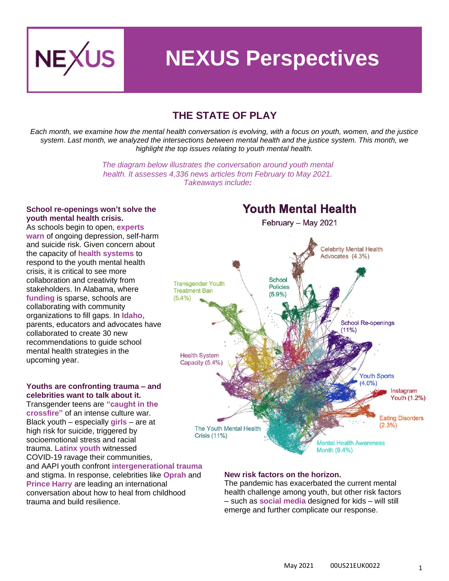

# **NEXUS Perspectives**

## **THE STATE OF PLAY**

*Each month, we examine how the mental health conversation is evolving, with a focus on youth, women, and the justice system. Last month, we analyzed the intersections between mental health and the justice system. This month, we highlight the top issues relating to youth mental health.*

> *The diagram below illustrates the conversation around youth mental health. It assesses 4,336 news articles from February to May 2021. Takeaways include:*

#### **School re-openings won't solve the youth mental health crisis.**

As schools begin to open, **[experts](https://www.kqed.org/news/11865058/childrens-mental-health-still-big-concern-as-schools-begin-reopening)  [warn](https://www.kqed.org/news/11865058/childrens-mental-health-still-big-concern-as-schools-begin-reopening)** of ongoing depression, self-harm and suicide risk. Given concern about the capacity of **[health systems](https://www.usnews.com/news/national-news/articles/2021-05-11/fixing-the-childrens-mental-health-crisis-it-takes-a-community)** to respond to the youth mental health crisis, it is critical to see more collaboration and creativity from stakeholders. In Alabama, where **[funding](https://www.al.com/news/2021/05/alabamas-school-mental-health-coordinators-are-vital-during-covid-funding-is-a-different-matter.html)** is sparse, schools are collaborating with community organizations to fill gaps. In **[Idaho](https://www.idahoednews.org/news/mental-health-group-drafts-30-recommendations-for-idaho-schools/),** parents, educators and advocates have collaborated to create 30 new recommendations to guide school mental health strategies in the upcoming year.

#### **Youths are confronting trauma – and celebrities want to talk about it.**

Transgender teens are **["caught in the](https://www.rollingstone.com/politics/politics-features/trans-medical-bans-impact-on-trans-kids-1158853/)  [crossfire"](https://www.rollingstone.com/politics/politics-features/trans-medical-bans-impact-on-trans-kids-1158853/)** of an intense culture war. Black youth – especi[ally](https://time.com/6046773/black-teenage-girls-suicide/) **girls** – are at high risk for suicide, triggered by socioemotional stress and racial trauma. **[Latinx](https://aldianews.com/articles/leaders/professionals/how-covid-19-has-worsened-mental-health-latino-community/64415) youth** witnessed COVID-19 ravage their communities, and AAPI youth confront **[intergenerational trauma](https://www.huffpost.com/entry/therapy-asian-americans-mental-health_n_60930805e4b0ccb91c39c4e2)** and stigma. In response, celebrities like **[Oprah](https://www.nytimes.com/2021/05/13/books/review/what-happened-to-you-bruce-perry-oprah-winfrey.html)** and **[Prince Harry](https://www.express.co.uk/news/royal/1437350/prince-harry-news-prince-charles-latest-duke-of-sussex-podcast-armchair-expert-royal-vn)** are leading an international conversation about how to heal from childhood trauma and build resilience.

### **Youth Mental Health** February - May 2021 Celebrity Mental Health Advocates (4.3%) School **Transgender Youth Policies Treatment Ban**  $(5.9%)$  $(5.4\%)$ **School Re-openings**  $(11%)$ **Health System** Capacity (5.4%) **Youth Sports**  $(4.0\%)$ Instagram Youth (1.2%) **Eating Disorders**  $(2.3\%)$ The Youth Mental Health Crisis (11%) **Mental Health Awareness** Month (9.4%)

#### **New risk factors on the horizon.**

The pandemic has exacerbated the current mental health challenge among youth, but other risk factors – such as **[social media](https://www.kcrw.com/news/shows/press-play-with-madeleine-brand/coronavirus-social-media-immigration-hulu-theater/facebook-instagram-youth)** designed for kids – will still emerge and further complicate our response.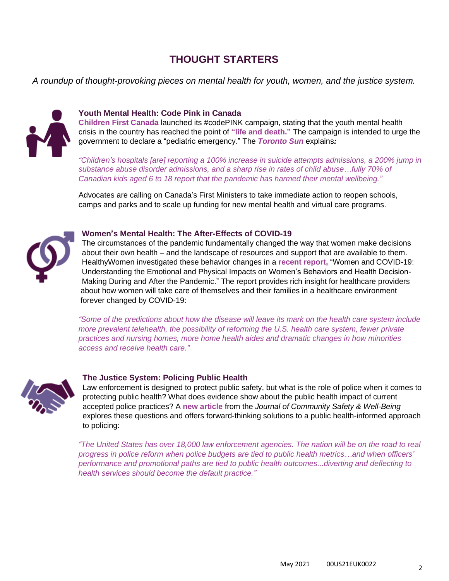## **THOUGHT STARTERS**

*A roundup of thought-provoking pieces on mental health for youth, women, and the justice system.*



#### **Youth Mental Health: Code Pink in Canada**

**[Children First Canada](https://childrenfirstcanada.org/)** launched its #codePINK campaign, stating that the youth mental health crisis in the country has reached the point of **["life and death."](https://www.vancouverislandfreedaily.com/news/advocates-say-canadas-youth-mental-health-crisis-has-life-and-death-stakes/)** The campaign is intended to urge the government to declare a "pediatric emergency." The *[Toronto Sun](https://torontosun.com/news/national/new-codepink-campaign-aimed-at-childrens-mental-health-crisis)* explains*:*

*"Children's hospitals [are] reporting a 100% increase in suicide attempts admissions, a 200% jump in substance abuse disorder admissions, and a sharp rise in rates of child abuse…fully 70% of Canadian kids aged 6 to 18 report that the pandemic has harmed their mental wellbeing."*

Advocates are calling on Canada's First Ministers to take immediate action to reopen schools, camps and parks and to scale up funding for new mental health and virtual care programs.



#### **Women's Mental Health: The After-Effects of COVID-19**

The circumstances of the pandemic fundamentally changed the way that women make decisions about their own health – and the landscape of resources and support that are available to them. HealthyWomen investigated these behavior changes in a **[recent report,](https://drive.google.com/file/d/1NgiLtB-o0ZQen1LRTve30MDPqWDG5wEX/view)** "Women and COVID-19: Understanding the Emotional and Physical Impacts on Women's Behaviors and Health Decision-Making During and After the Pandemic." The report provides rich insight for healthcare providers about how women will take care of themselves and their families in a healthcare environment forever changed by COVID-19:

*"Some of the predictions about how the disease will leave its mark on the health care system include more prevalent telehealth, the possibility of reforming the U.S. health care system, fewer private practices and nursing homes, more home health aides and dramatic changes in how minorities access and receive health care."*



#### **The Justice System: Policing Public Health**

Law enforcement is designed to protect public safety, but what is the role of police when it comes to protecting public health? What does evidence show about the public health impact of current accepted police practices? A **[new article](https://journalcswb.ca/index.php/cswb/article/view/184/461)** from the *Journal of Community Safety & Well-Being* explores these questions and offers forward-thinking solutions to a public health-informed approach to policing:

*"The United States has over 18,000 law enforcement agencies. The nation will be on the road to real progress in police reform when police budgets are tied to public health metrics…and when officers' performance and promotional paths are tied to public health outcomes...diverting and deflecting to health services should become the default practice."*